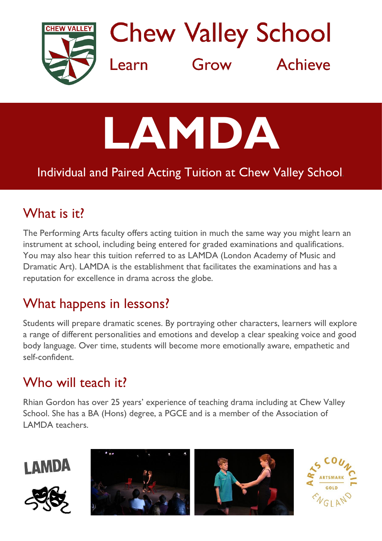

**Chew Valley School** Grow Achieve Learn

# **LAMDA**

#### Individual and Paired Acting Tuition at Chew Valley School*.*

## What is it?

The Performing Arts faculty offers acting tuition in much the same way you might learn an instrument at school, including being entered for graded examinations and qualifications. You may also hear this tuition referred to as LAMDA (London Academy of Music and Dramatic Art). LAMDA is the establishment that facilitates the examinations and has a reputation for excellence in drama across the globe.

#### What happens in lessons?

Students will prepare dramatic scenes. By portraying other characters, learners will explore a range of different personalities and emotions and develop a clear speaking voice and good body language. Over time, students will become more emotionally aware, empathetic and self-confident.

### Who will teach it?

Rhian Gordon has over 25 years' experience of teaching drama including at Chew Valley School. She has a BA (Hons) degree, a PGCE and is a member of the Association of LAMDA teachers.